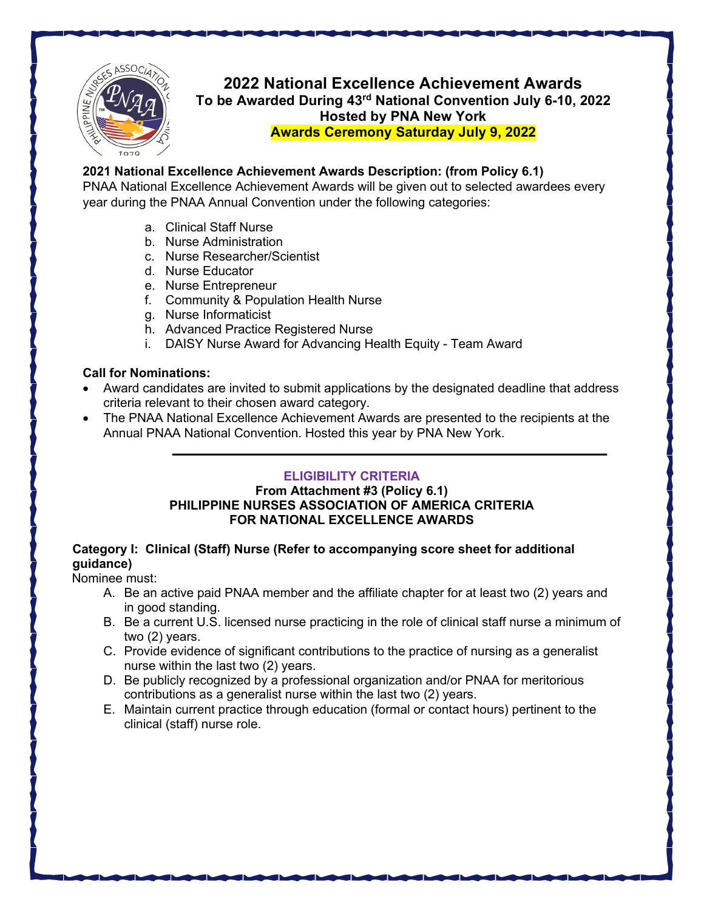

**2022 National Excellence Achievement Awards To be Awarded During 43rd National Convention July 6-10, 2022 Hosted by PNA New York Awards Ceremony Saturday July 9, 2022**

## **2021 National Excellence Achievement Awards Description: (from Policy 6.1)**

PNAA National Excellence Achievement Awards will be given out to selected awardees every year during the PNAA Annual Convention under the following categories:

- a. Clinical Staff Nurse
- b. Nurse Administration
- c. Nurse Researcher/Scientist
- d. Nurse Educator
- e. Nurse Entrepreneur
- f. Community & Population Health Nurse
- g. Nurse Informaticist
- h. Advanced Practice Registered Nurse
- i. DAISY Nurse Award for Advancing Health Equity Team Award

## **Call for Nominations:**

- Award candidates are invited to submit applications by the designated deadline that address criteria relevant to their chosen award category.
- The PNAA National Excellence Achievement Awards are presented to the recipients at the Annual PNAA National Convention. Hosted this year by PNA New York.

# **ELIGIBILITY CRITERIA**

## **From Attachment #3 (Policy 6.1) PHILIPPINE NURSES ASSOCIATION OF AMERICA CRITERIA FOR NATIONAL EXCELLENCE AWARDS**

## **Category I: Clinical (Staff) Nurse (Refer to accompanying score sheet for additional guidance)**

Nominee must:

- A. Be an active paid PNAA member and the affiliate chapter for at least two (2) years and in good standing.
- B. Be a current U.S. licensed nurse practicing in the role of clinical staff nurse a minimum of two (2) years.
- C. Provide evidence of significant contributions to the practice of nursing as a generalist nurse within the last two (2) years.
- D. Be publicly recognized by a professional organization and/or PNAA for meritorious contributions as a generalist nurse within the last two (2) years.
- E. Maintain current practice through education (formal or contact hours) pertinent to the clinical (staff) nurse role.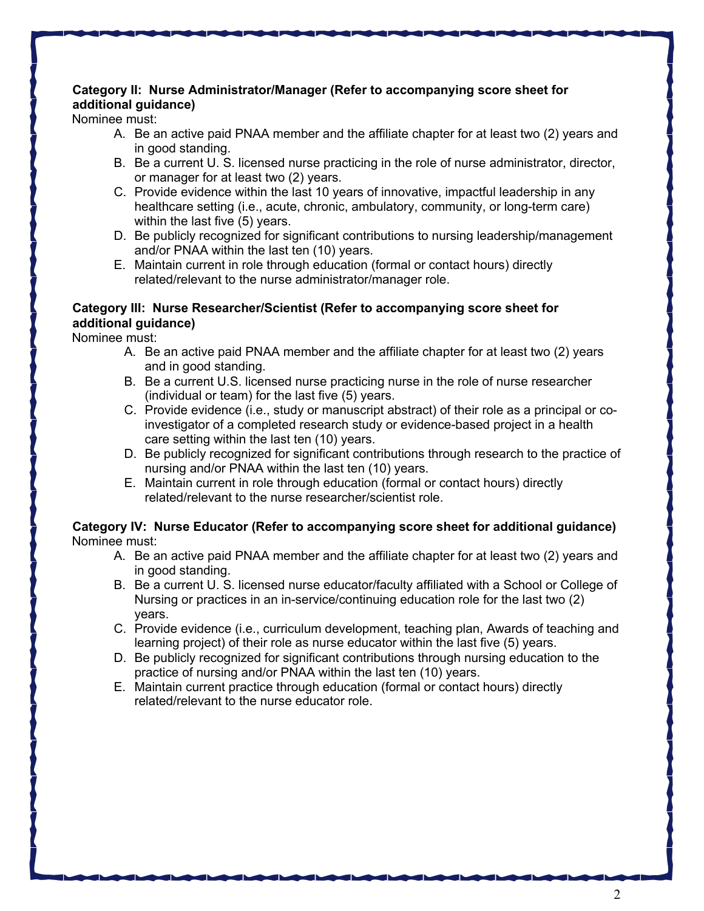# **Category II: Nurse Administrator/Manager (Refer to accompanying score sheet for additional guidance)**

Nominee must:

- A. Be an active paid PNAA member and the affiliate chapter for at least two (2) years and in good standing.
- B. Be a current U. S. licensed nurse practicing in the role of nurse administrator, director, or manager for at least two (2) years.
- C. Provide evidence within the last 10 years of innovative, impactful leadership in any healthcare setting (i.e., acute, chronic, ambulatory, community, or long-term care) within the last five (5) years.
- D. Be publicly recognized for significant contributions to nursing leadership/management and/or PNAA within the last ten (10) years.
- E. Maintain current in role through education (formal or contact hours) directly related/relevant to the nurse administrator/manager role.

# **Category III: Nurse Researcher/Scientist (Refer to accompanying score sheet for additional guidance)**

Nominee must:

- A. Be an active paid PNAA member and the affiliate chapter for at least two (2) years and in good standing.
- B. Be a current U.S. licensed nurse practicing nurse in the role of nurse researcher (individual or team) for the last five (5) years.
- C. Provide evidence (i.e., study or manuscript abstract) of their role as a principal or coinvestigator of a completed research study or evidence-based project in a health care setting within the last ten (10) years.
- D. Be publicly recognized for significant contributions through research to the practice of nursing and/or PNAA within the last ten (10) years.
- E. Maintain current in role through education (formal or contact hours) directly related/relevant to the nurse researcher/scientist role.

## **Category IV: Nurse Educator (Refer to accompanying score sheet for additional guidance)** Nominee must:

- A. Be an active paid PNAA member and the affiliate chapter for at least two (2) years and in good standing.
- B. Be a current U. S. licensed nurse educator/faculty affiliated with a School or College of Nursing or practices in an in-service/continuing education role for the last two (2) years.
- C. Provide evidence (i.e., curriculum development, teaching plan, Awards of teaching and learning project) of their role as nurse educator within the last five (5) years.
- D. Be publicly recognized for significant contributions through nursing education to the practice of nursing and/or PNAA within the last ten (10) years.
- E. Maintain current practice through education (formal or contact hours) directly related/relevant to the nurse educator role.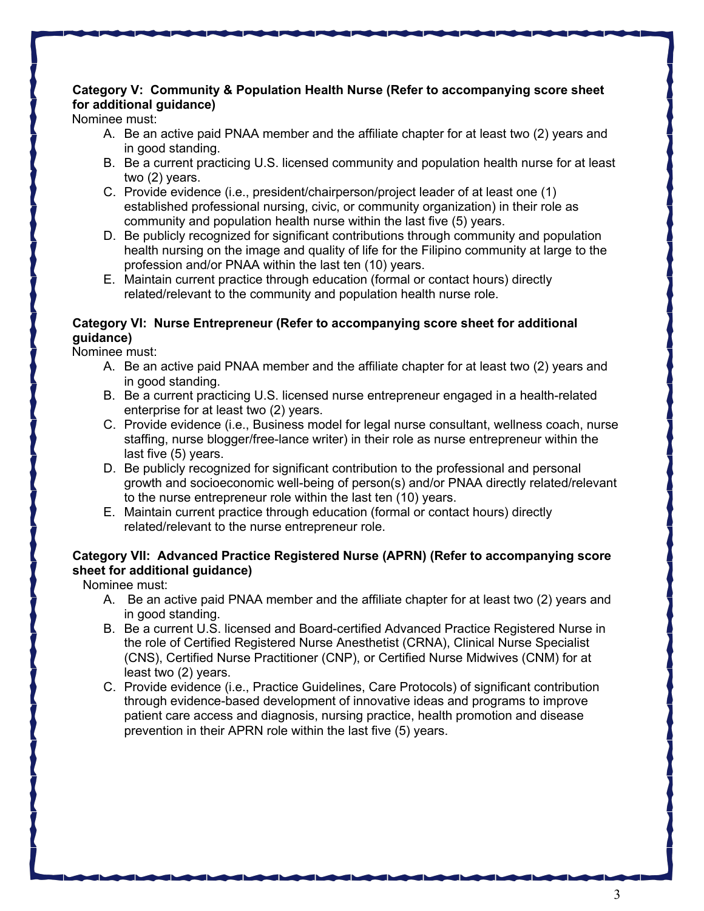# **Category V: Community & Population Health Nurse (Refer to accompanying score sheet for additional guidance)**

Nominee must:

- A. Be an active paid PNAA member and the affiliate chapter for at least two (2) years and in good standing.
- B. Be a current practicing U.S. licensed community and population health nurse for at least two (2) years.
- C. Provide evidence (i.e., president/chairperson/project leader of at least one (1) established professional nursing, civic, or community organization) in their role as community and population health nurse within the last five (5) years.
- D. Be publicly recognized for significant contributions through community and population health nursing on the image and quality of life for the Filipino community at large to the profession and/or PNAA within the last ten (10) years.
- E. Maintain current practice through education (formal or contact hours) directly related/relevant to the community and population health nurse role.

### **Category VI: Nurse Entrepreneur (Refer to accompanying score sheet for additional guidance)**

Nominee must:

- A. Be an active paid PNAA member and the affiliate chapter for at least two (2) years and in good standing.
- B. Be a current practicing U.S. licensed nurse entrepreneur engaged in a health-related enterprise for at least two (2) years.
- C. Provide evidence (i.e., Business model for legal nurse consultant, wellness coach, nurse staffing, nurse blogger/free-lance writer) in their role as nurse entrepreneur within the last five (5) years.
- D. Be publicly recognized for significant contribution to the professional and personal growth and socioeconomic well-being of person(s) and/or PNAA directly related/relevant to the nurse entrepreneur role within the last ten (10) years.
- E. Maintain current practice through education (formal or contact hours) directly related/relevant to the nurse entrepreneur role.

# **Category VII: Advanced Practice Registered Nurse (APRN) (Refer to accompanying score sheet for additional guidance)**

Nominee must:

- A. Be an active paid PNAA member and the affiliate chapter for at least two (2) years and in good standing.
- B. Be a current U.S. licensed and Board-certified Advanced Practice Registered Nurse in the role of Certified Registered Nurse Anesthetist (CRNA), Clinical Nurse Specialist (CNS), Certified Nurse Practitioner (CNP), or Certified Nurse Midwives (CNM) for at least two (2) years.
- C. Provide evidence (i.e., Practice Guidelines, Care Protocols) of significant contribution through evidence-based development of innovative ideas and programs to improve patient care access and diagnosis, nursing practice, health promotion and disease prevention in their APRN role within the last five (5) years.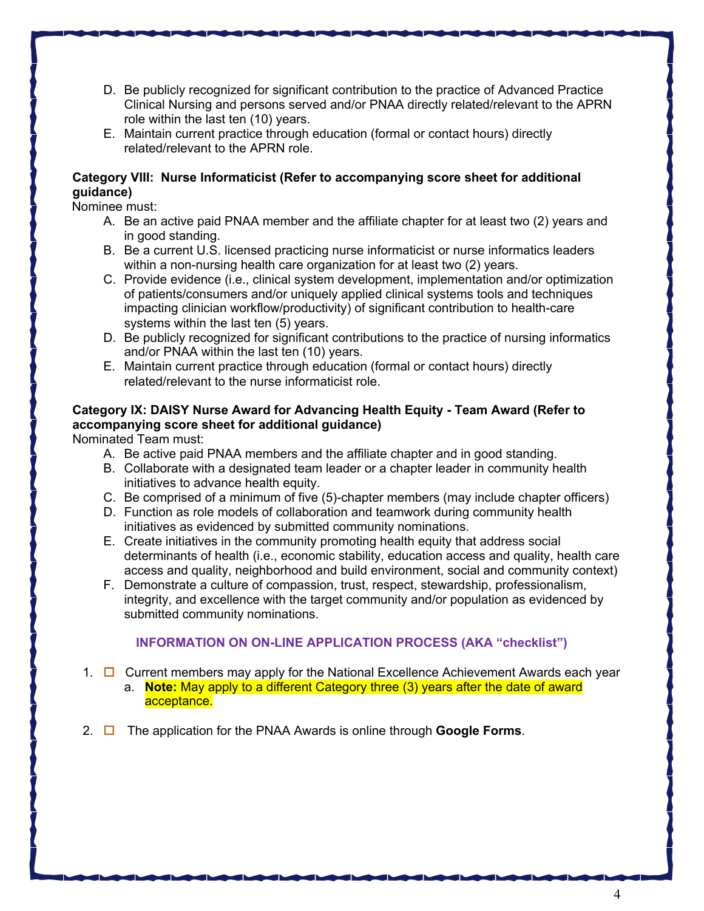- D. Be publicly recognized for significant contribution to the practice of Advanced Practice Clinical Nursing and persons served and/or PNAA directly related/relevant to the APRN role within the last ten (10) years.
- E. Maintain current practice through education (formal or contact hours) directly related/relevant to the APRN role.

## **Category VIII: Nurse Informaticist (Refer to accompanying score sheet for additional guidance)**

Nominee must:

- A. Be an active paid PNAA member and the affiliate chapter for at least two (2) years and in good standing.
- B. Be a current U.S. licensed practicing nurse informaticist or nurse informatics leaders within a non-nursing health care organization for at least two (2) years.
- C. Provide evidence (i.e., clinical system development, implementation and/or optimization of patients/consumers and/or uniquely applied clinical systems tools and techniques impacting clinician workflow/productivity) of significant contribution to health-care systems within the last ten (5) years.
- D. Be publicly recognized for significant contributions to the practice of nursing informatics and/or PNAA within the last ten (10) years.
- E. Maintain current practice through education (formal or contact hours) directly related/relevant to the nurse informaticist role.

## **Category IX: DAISY Nurse Award for Advancing Health Equity - Team Award (Refer to accompanying score sheet for additional guidance)**

Nominated Team must:

- A. Be active paid PNAA members and the affiliate chapter and in good standing.
- B. Collaborate with a designated team leader or a chapter leader in community health initiatives to advance health equity.
- C. Be comprised of a minimum of five (5)-chapter members (may include chapter officers)
- D. Function as role models of collaboration and teamwork during community health initiatives as evidenced by submitted community nominations.
- E. Create initiatives in the community promoting health equity that address social determinants of health (i.e., economic stability, education access and quality, health care access and quality, neighborhood and build environment, social and community context)
- F. Demonstrate a culture of compassion, trust, respect, stewardship, professionalism, integrity, and excellence with the target community and/or population as evidenced by submitted community nominations.

# **INFORMATION ON ON-LINE APPLICATION PROCESS (AKA "checklist")**

- 1.  $\Box$  Current members may apply for the National Excellence Achievement Awards each year
	- a. **Note:** May apply to a different Category three (3) years after the date of award acceptance.
- 2. ¨ The application for the PNAA Awards is online through **Google Forms**.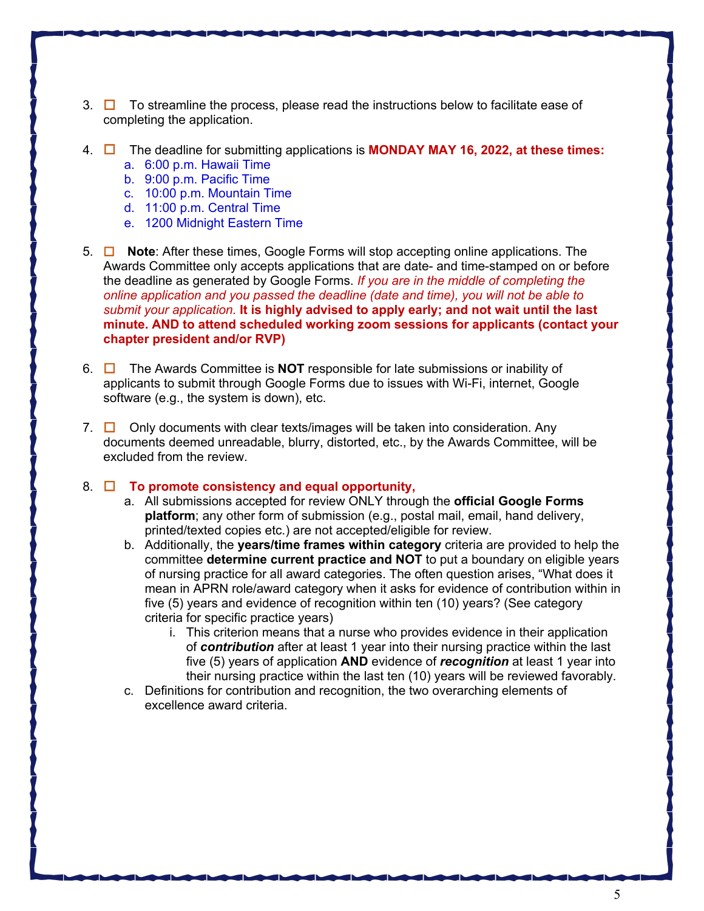- 3.  $\Box$  To streamline the process, please read the instructions below to facilitate ease of completing the application.
- 4. ¨ The deadline for submitting applications is **MONDAY MAY 16, 2022, at these times:**
	- a. 6:00 p.m. Hawaii Time
	- b. 9:00 p.m. Pacific Time
	- c. 10:00 p.m. Mountain Time
	- d. 11:00 p.m. Central Time
	- e. 1200 Midnight Eastern Time
- 5. □ **Note**: After these times, Google Forms will stop accepting online applications. The Awards Committee only accepts applications that are date- and time-stamped on or before the deadline as generated by Google Forms. *If you are in the middle of completing the online application and you passed the deadline (date and time), you will not be able to submit your application.* **It is highly advised to apply early; and not wait until the last minute. AND to attend scheduled working zoom sessions for applicants (contact your chapter president and/or RVP)**
- 6. ¨ The Awards Committee is **NOT** responsible for late submissions or inability of applicants to submit through Google Forms due to issues with Wi-Fi, internet, Google software (e.g., the system is down), etc.
- 7.  $\Box$  Only documents with clear texts/images will be taken into consideration. Any documents deemed unreadable, blurry, distorted, etc., by the Awards Committee, will be excluded from the review.
- 8. □ **To promote consistency and equal opportunity,** 
	- a. All submissions accepted for review ONLY through the **official Google Forms platform**; any other form of submission (e.g., postal mail, email, hand delivery, printed/texted copies etc.) are not accepted/eligible for review.
	- b. Additionally, the **years/time frames within category** criteria are provided to help the committee **determine current practice and NOT** to put a boundary on eligible years of nursing practice for all award categories. The often question arises, "What does it mean in APRN role/award category when it asks for evidence of contribution within in five (5) years and evidence of recognition within ten (10) years? (See category criteria for specific practice years)
		- i. This criterion means that a nurse who provides evidence in their application of *contribution* after at least 1 year into their nursing practice within the last five (5) years of application **AND** evidence of *recognition* at least 1 year into their nursing practice within the last ten (10) years will be reviewed favorably.
	- c. Definitions for contribution and recognition, the two overarching elements of excellence award criteria.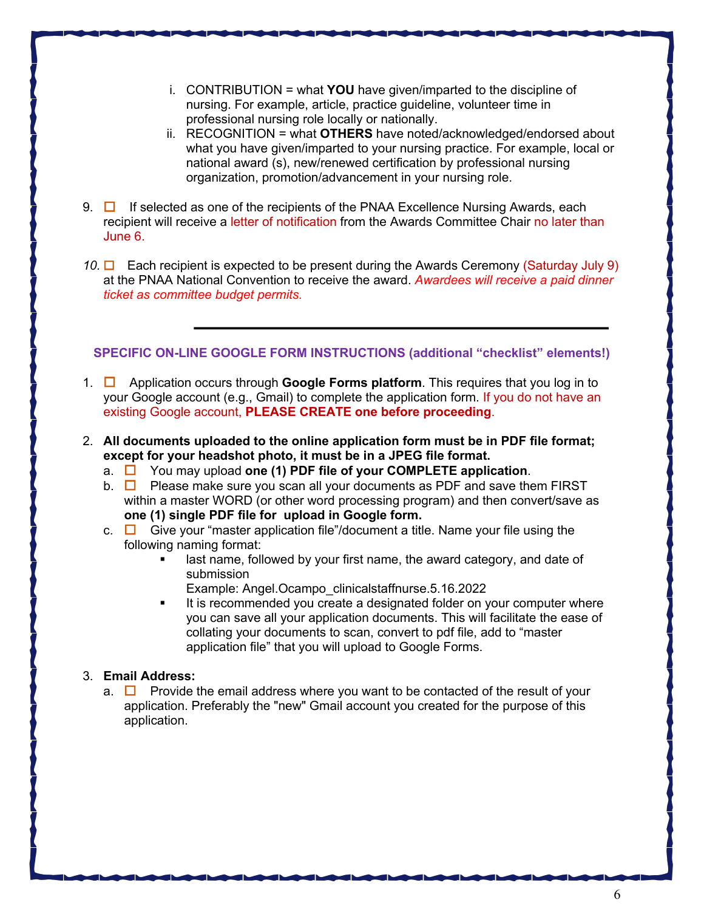- i. CONTRIBUTION = what **YOU** have given/imparted to the discipline of nursing. For example, article, practice guideline, volunteer time in professional nursing role locally or nationally.
- ii. RECOGNITION = what **OTHERS** have noted/acknowledged/endorsed about what you have given/imparted to your nursing practice. For example, local or national award (s), new/renewed certification by professional nursing organization, promotion/advancement in your nursing role.
- 9.  $\Box$  If selected as one of the recipients of the PNAA Excellence Nursing Awards, each recipient will receive a letter of notification from the Awards Committee Chair no later than June 6.
- 10.  $\Box$  Each recipient is expected to be present during the Awards Ceremony (Saturday July 9) at the PNAA National Convention to receive the award. *Awardees will receive a paid dinner ticket as committee budget permits.*

#### **SPECIFIC ON-LINE GOOGLE FORM INSTRUCTIONS (additional "checklist" elements!)**

- 1. ¨ Application occurs through **Google Forms platform**. This requires that you log in to your Google account (e.g., Gmail) to complete the application form. If you do not have an existing Google account, **PLEASE CREATE one before proceeding**.
- 2. **All documents uploaded to the online application form must be in PDF file format; except for your headshot photo, it must be in a JPEG file format.**
	- a. □ You may upload one (1) PDF file of your COMPLETE application.
	- b.  $\Box$  Please make sure you scan all your documents as PDF and save them FIRST within a master WORD (or other word processing program) and then convert/save as **one (1) single PDF file for upload in Google form.**
	- c.  $\Box$  Give your "master application file"/document a title. Name your file using the following naming format:
		- last name, followed by your first name, the award category, and date of submission
		- Example: Angel.Ocampo\_clinicalstaffnurse.5.16.2022
		- It is recommended you create a designated folder on your computer where you can save all your application documents. This will facilitate the ease of collating your documents to scan, convert to pdf file, add to "master application file" that you will upload to Google Forms.

#### 3. **Email Address:**

a.  $\Box$  Provide the email address where you want to be contacted of the result of your application. Preferably the "new" Gmail account you created for the purpose of this application.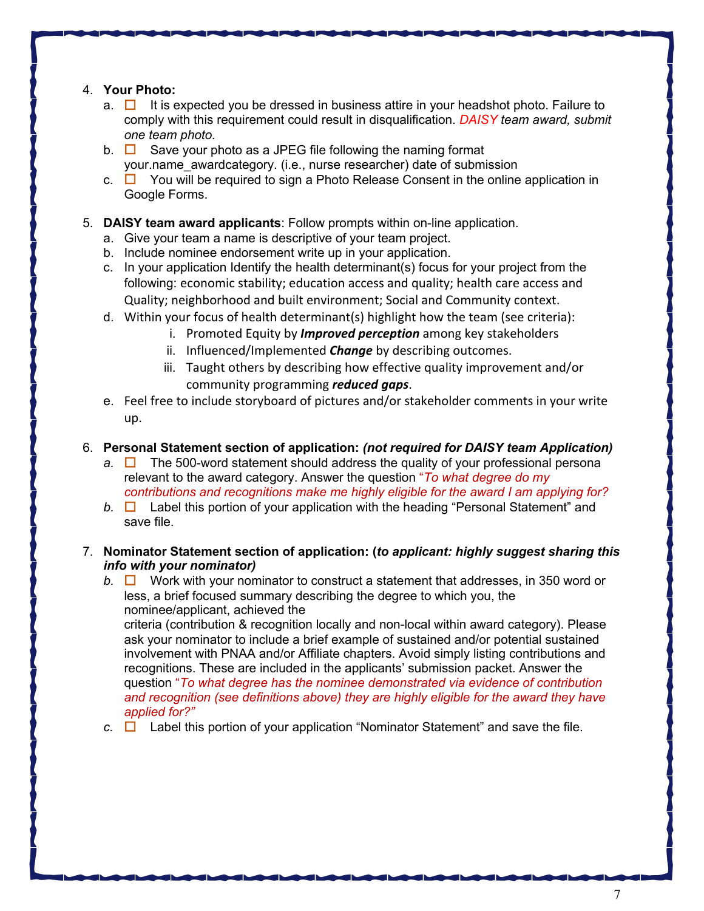### 4. **Your Photo:**

- a.  $\Box$  It is expected you be dressed in business attire in your headshot photo. Failure to comply with this requirement could result in disqualification. *DAISY team award, submit one team photo.*
- b.  $\Box$  Save your photo as a JPEG file following the naming format your.name\_awardcategory. (i.e., nurse researcher) date of submission
- c.  $\Box$  You will be required to sign a Photo Release Consent in the online application in Google Forms.

### 5. **DAISY team award applicants**: Follow prompts within on-line application.

- a. Give your team a name is descriptive of your team project.
- b. Include nominee endorsement write up in your application.
- c. In your application Identify the health determinant(s) focus for your project from the following: economic stability; education access and quality; health care access and Quality; neighborhood and built environment; Social and Community context.
- d. Within your focus of health determinant(s) highlight how the team (see criteria):
	- i. Promoted Equity by *Improved perception* among key stakeholders
	- ii. Influenced/Implemented *Change* by describing outcomes.
	- iii. Taught others by describing how effective quality improvement and/or community programming *reduced gaps*.
- e. Feel free to include storyboard of pictures and/or stakeholder comments in your write up.

### 6. **Personal Statement section of application:** *(not required for DAISY team Application)*

- *a.*  $\Box$  The 500-word statement should address the quality of your professional persona relevant to the award category. Answer the question "*To what degree do my contributions and recognitions make me highly eligible for the award I am applying for?*
- *b.* □ Label this portion of your application with the heading "Personal Statement" and save file.

### 7. **Nominator Statement section of application: (***to applicant: highly suggest sharing this info with your nominator)*

*b.*  $\Box$  Work with your nominator to construct a statement that addresses, in 350 word or less, a brief focused summary describing the degree to which you, the nominee/applicant, achieved the

criteria (contribution & recognition locally and non-local within award category). Please ask your nominator to include a brief example of sustained and/or potential sustained involvement with PNAA and/or Affiliate chapters. Avoid simply listing contributions and recognitions. These are included in the applicants' submission packet. Answer the question "*To what degree has the nominee demonstrated via evidence of contribution and recognition (see definitions above) they are highly eligible for the award they have applied for?"* 

 $c.$   $\Box$  Label this portion of your application "Nominator Statement" and save the file.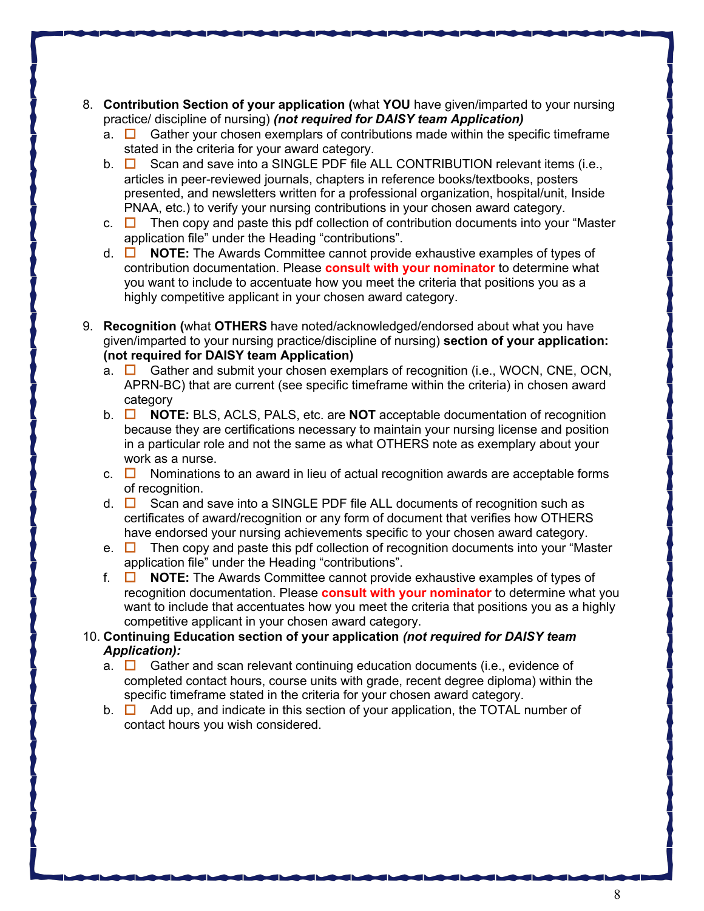- 8. **Contribution Section of your application (**what **YOU** have given/imparted to your nursing practice/ discipline of nursing) *(not required for DAISY team Application)*
	- a.  $\Box$  Gather your chosen exemplars of contributions made within the specific timeframe stated in the criteria for your award category.
	- b.  $\Box$  Scan and save into a SINGLE PDF file ALL CONTRIBUTION relevant items (i.e., articles in peer-reviewed journals, chapters in reference books/textbooks, posters presented, and newsletters written for a professional organization, hospital/unit, Inside PNAA, etc.) to verify your nursing contributions in your chosen award category.
	- c.  $\Box$  Then copy and paste this pdf collection of contribution documents into your "Master" application file" under the Heading "contributions".
	- d.  $\Box$  **NOTE:** The Awards Committee cannot provide exhaustive examples of types of contribution documentation. Please **consult with your nominator** to determine what you want to include to accentuate how you meet the criteria that positions you as a highly competitive applicant in your chosen award category.
- 9. **Recognition (**what **OTHERS** have noted/acknowledged/endorsed about what you have given/imparted to your nursing practice/discipline of nursing) **section of your application: (not required for DAISY team Application)**
	- a.  $\Box$  Gather and submit your chosen exemplars of recognition (i.e., WOCN, CNE, OCN, APRN-BC) that are current (see specific timeframe within the criteria) in chosen award category
	- **b.** □ **NOTE:** BLS, ACLS, PALS, etc. are **NOT** acceptable documentation of recognition because they are certifications necessary to maintain your nursing license and position in a particular role and not the same as what OTHERS note as exemplary about your work as a nurse.
	- c.  $\Box$  Nominations to an award in lieu of actual recognition awards are acceptable forms of recognition.
	- d.  $\Box$  Scan and save into a SINGLE PDF file ALL documents of recognition such as certificates of award/recognition or any form of document that verifies how OTHERS have endorsed your nursing achievements specific to your chosen award category.
	- e.  $\Box$  Then copy and paste this pdf collection of recognition documents into your "Master" application file" under the Heading "contributions".
	- f.  $\Box$  **NOTE:** The Awards Committee cannot provide exhaustive examples of types of recognition documentation. Please **consult with your nominator** to determine what you want to include that accentuates how you meet the criteria that positions you as a highly competitive applicant in your chosen award category.

## 10. **Continuing Education section of your application** *(not required for DAISY team Application):*

- a.  $\Box$  Gather and scan relevant continuing education documents (i.e., evidence of completed contact hours, course units with grade, recent degree diploma) within the specific timeframe stated in the criteria for your chosen award category.
- b.  $\Box$  Add up, and indicate in this section of your application, the TOTAL number of contact hours you wish considered.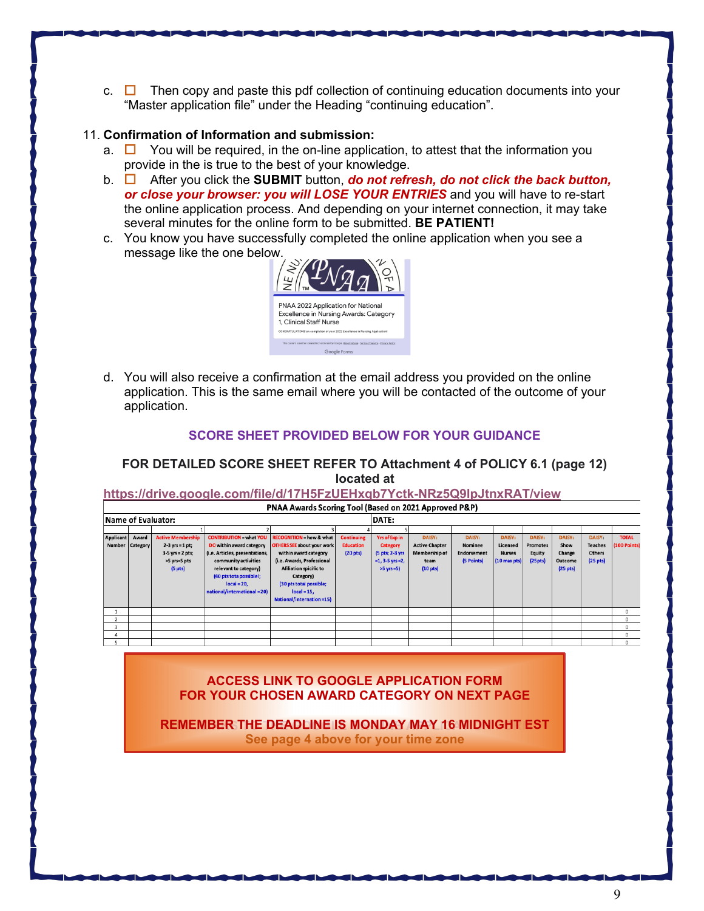c.  $\Box$  Then copy and paste this pdf collection of continuing education documents into your "Master application file" under the Heading "continuing education".

#### 11. **Confirmation of Information and submission:**

- a.  $\Box$  You will be required, in the on-line application, to attest that the information you provide in the is true to the best of your knowledge.
- **b.** □ After you click the **SUBMIT** button, *do not refresh, do not click the back button, or close your browser: you will LOSE YOUR ENTRIES* and you will have to re-start the online application process. And depending on your internet connection, it may take several minutes for the online form to be submitted. **BE PATIENT!**
- c. You know you have successfully completed the online application when you see a message like the one below.



d. You will also receive a confirmation at the email address you provided on the online application. This is the same email where you will be contacted of the outcome of your application.

#### **SCORE SHEET PROVIDED BELOW FOR YOUR GUIDANCE**

### **FOR DETAILED SCORE SHEET REFER TO Attachment 4 of POLICY 6.1 (page 12) located at**

**https://drive.google.com/file/d/17H5FzUEHxqb7Yctk-NRz5Q9lpJtnxRAT/view**

| PIVAA AWARDS SCOTTING TOOI (Based OII 2021 Approved P&P) |                 |                          |                                |                                     |                      |                      |                       |               |                        |                 |                      |                      |              |  |
|----------------------------------------------------------|-----------------|--------------------------|--------------------------------|-------------------------------------|----------------------|----------------------|-----------------------|---------------|------------------------|-----------------|----------------------|----------------------|--------------|--|
| Name of Evaluator:                                       |                 |                          |                                |                                     |                      |                      | <b>DATE:</b>          |               |                        |                 |                      |                      |              |  |
|                                                          |                 |                          |                                |                                     |                      |                      |                       |               |                        |                 |                      |                      |              |  |
| Applicant                                                | Award           | <b>Active Membership</b> | <b>CONTRIBUTION = what YOU</b> | <b>RECOGNITION = how &amp; what</b> | <b>Continuing</b>    | <b>Yrs of Exp in</b> | <b>DAISY:</b>         | <b>DAISY:</b> | <b>DAISY:</b>          | <b>DAISY:</b>   | <b>DAISY:</b>        | <b>DAISY:</b>        | <b>TOTAL</b> |  |
|                                                          | Number Category | $2-3$ yrs = 1 pt;        | DO within award category       | <b>OTHERS SEE about your work</b>   | <b>Education</b>     | <b>Category</b>      | <b>Active Chapter</b> | Nominee       | Licensed               | <b>Promotes</b> | Show                 | <b>Teaches</b>       | (100 Points) |  |
|                                                          |                 | $3-5$ yrs = 2 pts;       | (i.e. Articles, presentations, | within award category               | (20 <sub>pts</sub> ) | (5 pts; 2-3 yrs      | Membership of         | Endorsement   | <b>Nurses</b>          | Equity          | Change               | <b>Others</b>        |              |  |
|                                                          |                 | >5 yrs=5 pts             | community activities           | (i.e. Awards, Professional          |                      | $=1, 3-5$ yrs $=2,$  | team                  | (5 Points)    | $(10 \text{ max pts})$ | (25pts)         | Outcome              | (25 <sub>pts</sub> ) |              |  |
|                                                          |                 | (5 <sub>pts</sub> )      | relevant to category)          | Afiliation spicific to              |                      | $>5$ yrs =5)         | (10 <sub>pts</sub> )  |               |                        |                 | (25 <sub>pts</sub> ) |                      |              |  |
|                                                          |                 |                          | (40 pts tota possiblel;        | Category)                           |                      |                      |                       |               |                        |                 |                      |                      |              |  |
|                                                          |                 |                          | $local = 20.$                  | (30 pts total possible;             |                      |                      |                       |               |                        |                 |                      |                      |              |  |
|                                                          |                 |                          | national/international=20)     | $local = 15,$                       |                      |                      |                       |               |                        |                 |                      |                      |              |  |
|                                                          |                 |                          |                                | National/internation=15)            |                      |                      |                       |               |                        |                 |                      |                      |              |  |
|                                                          |                 |                          |                                |                                     |                      |                      |                       |               |                        |                 |                      |                      | 0            |  |
|                                                          |                 |                          |                                |                                     |                      |                      |                       |               |                        |                 |                      |                      | $\Omega$     |  |
|                                                          |                 |                          |                                |                                     |                      |                      |                       |               |                        |                 |                      |                      |              |  |
| 3                                                        |                 |                          |                                |                                     |                      |                      |                       |               |                        |                 |                      |                      |              |  |
|                                                          |                 |                          |                                |                                     |                      |                      |                       |               |                        |                 |                      |                      | $\Omega$     |  |
|                                                          |                 |                          |                                |                                     |                      |                      |                       |               |                        |                 |                      |                      | $\Omega$     |  |
|                                                          |                 |                          |                                |                                     |                      |                      |                       |               |                        |                 |                      |                      |              |  |

**ACCESS LINK TO GOOGLE APPLICATION FORM FOR YOUR CHOSEN AWARD CATEGORY ON NEXT PAGE**

**REMEMBER THE DEADLINE IS MONDAY MAY 16 MIDNIGHT EST See page 4 above for your time zone**